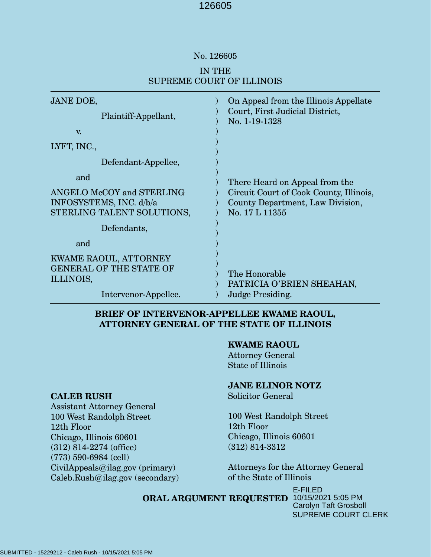#### No. 126605

# IN THE SUPREME COURT OF ILLINOIS

| <b>JANE DOE,</b><br>Plaintiff-Appellant,<br>V.                                               | On Appeal from the Illinois Appellate<br>Court, First Judicial District,<br>No. 1-19-1328                                       |
|----------------------------------------------------------------------------------------------|---------------------------------------------------------------------------------------------------------------------------------|
| LYFT, INC.,                                                                                  |                                                                                                                                 |
| Defendant-Appellee,                                                                          |                                                                                                                                 |
| and<br>ANGELO McCOY and STERLING<br>INFOSYSTEMS, INC. d/b/a<br>STERLING TALENT SOLUTIONS,    | There Heard on Appeal from the<br>Circuit Court of Cook County, Illinois,<br>County Department, Law Division,<br>No. 17 L 11355 |
| Defendants,                                                                                  |                                                                                                                                 |
| and                                                                                          |                                                                                                                                 |
| KWAME RAOUL, ATTORNEY<br><b>GENERAL OF THE STATE OF</b><br>ILLINOIS,<br>Intervenor-Appellee. | The Honorable<br>PATRICIA O'BRIEN SHEAHAN,<br>Judge Presiding.                                                                  |
|                                                                                              |                                                                                                                                 |

## **BRIEF OF INTERVENOR-APPELLEE KWAME RAOUL, ATTORNEY GENERAL OF THE STATE OF ILLINOIS**

#### **KWAME RAOUL**

Attorney General State of Illinois

# **JANE ELINOR NOTZ**

Solicitor General

100 West Randolph Street 12th Floor Chicago, Illinois 60601 (312) 814-3312

Attorneys for the Attorney General of the State of Illinois

#### **ORAL ARGUMENT REQUESTED** 10/15/2021 5:05 PM E-FILED Carolyn Taft Grosboll SUPREME COURT CLERK

# **CALEB RUSH**

Assistant Attorney General 100 West Randolph Street 12th Floor Chicago, Illinois 60601 (312) 814-2274 (office) (773) 590-6984 (cell) CivilAppeals@ilag.gov (primary) Caleb.Rush@ilag.gov (secondary)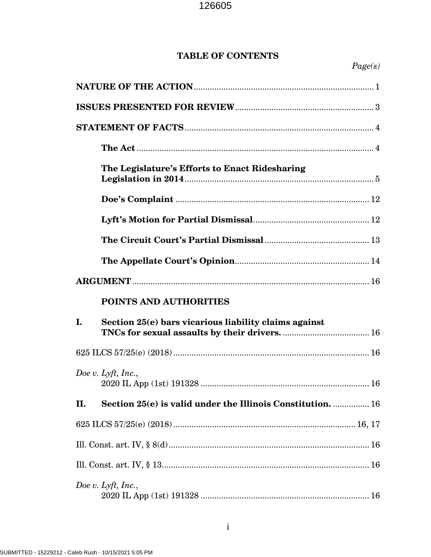# **TABLE OF CONTENTS**

|    | The Legislature's Efforts to Enact Ridesharing              |  |  |
|----|-------------------------------------------------------------|--|--|
|    |                                                             |  |  |
|    |                                                             |  |  |
|    |                                                             |  |  |
|    |                                                             |  |  |
|    |                                                             |  |  |
|    |                                                             |  |  |
|    | POINTS AND AUTHORITIES                                      |  |  |
| I. | Section 25(e) bars vicarious liability claims against       |  |  |
|    |                                                             |  |  |
|    | Doe v. Lyft, Inc.,                                          |  |  |
| П. | Section 25(e) is valid under the Illinois Constitution.  16 |  |  |
|    |                                                             |  |  |
|    |                                                             |  |  |
|    |                                                             |  |  |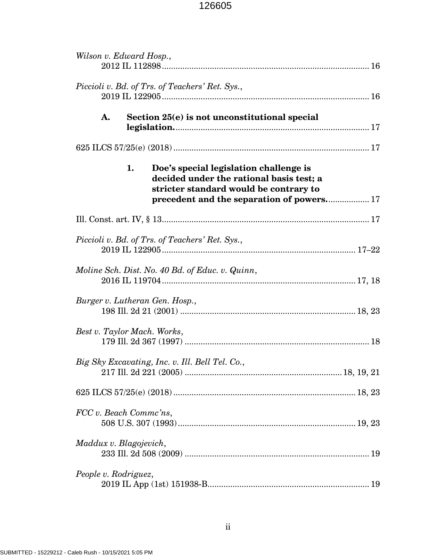| Wilson v. Edward Hosp.,                                                                                                                                                         |
|---------------------------------------------------------------------------------------------------------------------------------------------------------------------------------|
| Piccioli v. Bd. of Trs. of Teachers' Ret. Sys.,                                                                                                                                 |
| Section 25(e) is not unconstitutional special<br>A.                                                                                                                             |
|                                                                                                                                                                                 |
| Doe's special legislation challenge is<br>1.<br>decided under the rational basis test; a<br>stricter standard would be contrary to<br>precedent and the separation of powers 17 |
|                                                                                                                                                                                 |
| Piccioli v. Bd. of Trs. of Teachers' Ret. Sys.,                                                                                                                                 |
| Moline Sch. Dist. No. 40 Bd. of Educ. v. Quinn,                                                                                                                                 |
| Burger v. Lutheran Gen. Hosp.,                                                                                                                                                  |
| Best v. Taylor Mach. Works,                                                                                                                                                     |
| Big Sky Excavating, Inc. v. Ill. Bell Tel. Co.,                                                                                                                                 |
|                                                                                                                                                                                 |
| FCC v. Beach Commc'ns,                                                                                                                                                          |
| Maddux v. Blagojevich,                                                                                                                                                          |
| People v. Rodriguez,                                                                                                                                                            |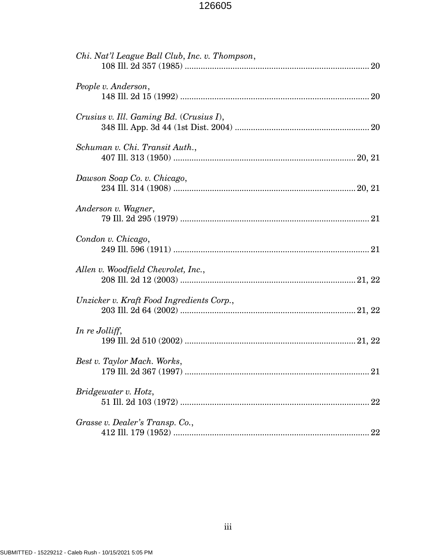| Chi. Nat'l League Ball Club, Inc. v. Thompson, |
|------------------------------------------------|
| People v. Anderson,                            |
| Crusius v. Ill. Gaming Bd. (Crusius I),        |
| Schuman v. Chi. Transit Auth.,                 |
| Dawson Soap Co. v. Chicago,                    |
| Anderson v. Wagner,                            |
| Condon v. Chicago,                             |
| Allen v. Woodfield Chevrolet, Inc.,            |
| Unzicker v. Kraft Food Ingredients Corp.,      |
| In re Jolliff,                                 |
| Best v. Taylor Mach. Works,                    |
| Bridgewater v. Hotz,                           |
| Grasse v. Dealer's Transp. Co.,                |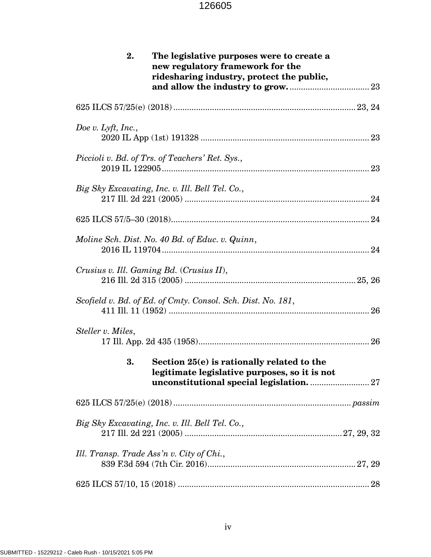| 2.<br>The legislative purposes were to create a<br>new regulatory framework for the<br>ridesharing industry, protect the public, |
|----------------------------------------------------------------------------------------------------------------------------------|
|                                                                                                                                  |
| Doe v. Lyft, Inc.,                                                                                                               |
| Piccioli v. Bd. of Trs. of Teachers' Ret. Sys.,                                                                                  |
| Big Sky Excavating, Inc. v. Ill. Bell Tel. Co.,                                                                                  |
|                                                                                                                                  |
| Moline Sch. Dist. No. 40 Bd. of Educ. v. Quinn,                                                                                  |
| Crusius v. Ill. Gaming Bd. (Crusius II),                                                                                         |
| Scofield v. Bd. of Ed. of Cmty. Consol. Sch. Dist. No. 181,                                                                      |
| Steller v. Miles,                                                                                                                |
| Section 25(e) is rationally related to the<br>3.<br>legitimate legislative purposes, so it is not                                |
|                                                                                                                                  |
| Big Sky Excavating, Inc. v. Ill. Bell Tel. Co.,                                                                                  |
| Ill. Transp. Trade Ass'n v. City of Chi.,                                                                                        |
|                                                                                                                                  |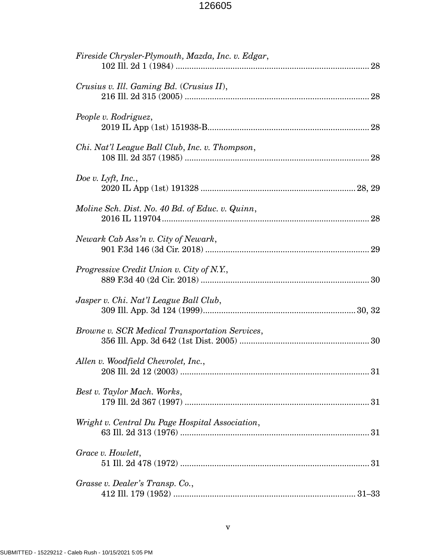| Fireside Chrysler-Plymouth, Mazda, Inc. v. Edgar, |
|---------------------------------------------------|
| Crusius v. Ill. Gaming Bd. (Crusius II),          |
| People v. Rodriguez,                              |
| Chi. Nat'l League Ball Club, Inc. v. Thompson,    |
| Doe v. Lyft, Inc.,                                |
| Moline Sch. Dist. No. 40 Bd. of Educ. v. Quinn,   |
| Newark Cab Ass'n v. City of Newark,               |
| Progressive Credit Union v. City of N.Y.,         |
| Jasper v. Chi. Nat'l League Ball Club,            |
| Browne v. SCR Medical Transportation Services,    |
| Allen v. Woodfield Chevrolet, Inc.,               |
| Best v. Taylor Mach. Works,                       |
| Wright v. Central Du Page Hospital Association,   |
| Grace v. Howlett,                                 |
| Grasse v. Dealer's Transp. Co.,                   |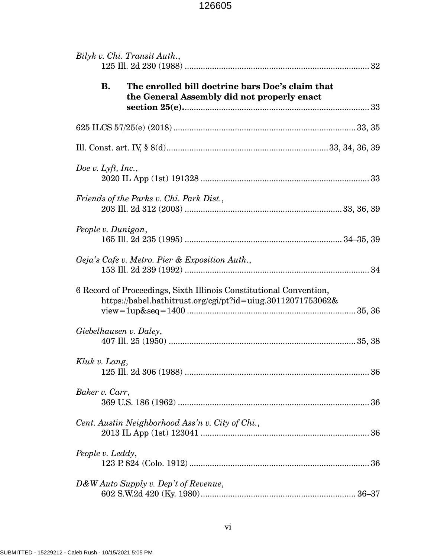| Bilyk v. Chi. Transit Auth.,                                                                                                      |  |  |
|-----------------------------------------------------------------------------------------------------------------------------------|--|--|
| <b>B.</b><br>The enrolled bill doctrine bars Doe's claim that<br>the General Assembly did not properly enact                      |  |  |
|                                                                                                                                   |  |  |
|                                                                                                                                   |  |  |
| Doe v. Lyft, Inc.,                                                                                                                |  |  |
| Friends of the Parks v. Chi. Park Dist.,                                                                                          |  |  |
| People v. Dunigan,                                                                                                                |  |  |
| Geja's Cafe v. Metro. Pier & Exposition Auth.,                                                                                    |  |  |
| 6 Record of Proceedings, Sixth Illinois Constitutional Convention,<br>https://babel.hathitrust.org/cgi/pt?id=uiug.30112071753062& |  |  |
| Giebelhausen v. Daley,                                                                                                            |  |  |
| Kluk v. Lang,                                                                                                                     |  |  |
| Baker v. Carr,                                                                                                                    |  |  |
| Cent. Austin Neighborhood Ass'n v. City of Chi.,                                                                                  |  |  |
| People v. Leddy,                                                                                                                  |  |  |
| D&W Auto Supply v. Dep't of Revenue,                                                                                              |  |  |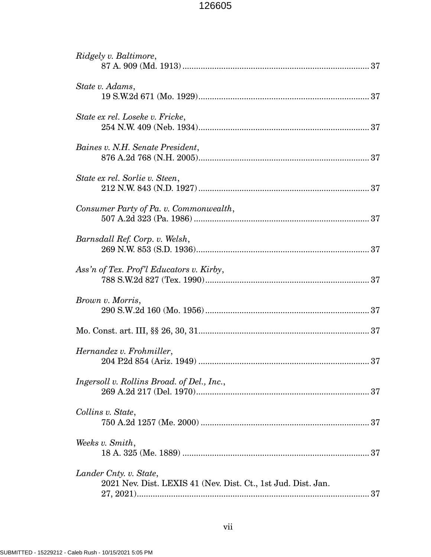| Ridgely v. Baltimore,                                                                   |
|-----------------------------------------------------------------------------------------|
| State v. Adams,                                                                         |
| State ex rel. Loseke v. Fricke,                                                         |
| Baines v. N.H. Senate President,                                                        |
| State ex rel. Sorlie v. Steen,                                                          |
| Consumer Party of Pa. v. Commonwealth,                                                  |
| Barnsdall Ref. Corp. v. Welsh,                                                          |
| Ass'n of Tex. Prof'l Educators v. Kirby,                                                |
| Brown v. Morris,                                                                        |
|                                                                                         |
| Hernandez v. Frohmiller,<br>204 P.2d 854 (Ariz. 1949)<br>37                             |
| Ingersoll v. Rollins Broad. of Del., Inc.,                                              |
| Collins v. State,                                                                       |
| Weeks v. Smith,                                                                         |
| Lander Cnty. v. State,<br>2021 Nev. Dist. LEXIS 41 (Nev. Dist. Ct., 1st Jud. Dist. Jan. |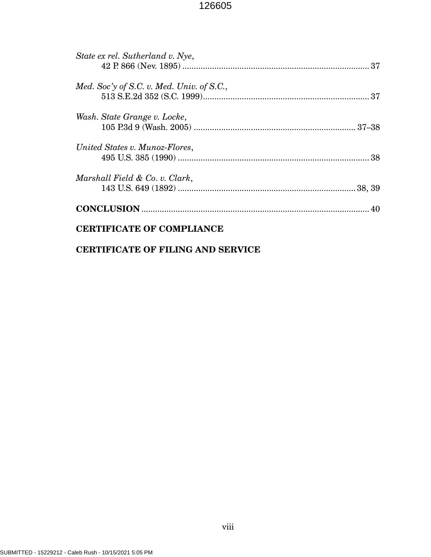| State ex rel. Sutherland v. Nye,          |  |
|-------------------------------------------|--|
|                                           |  |
| Med. Soc'y of S.C. v. Med. Univ. of S.C., |  |
|                                           |  |
| Wash. State Grange v. Locke,              |  |
|                                           |  |
| United States v. Munoz-Flores,            |  |
|                                           |  |
| Marshall Field & Co. v. Clark,            |  |
|                                           |  |
|                                           |  |
| <b>CERTIFICATE OF COMPLIANCE</b>          |  |

# **CERTIFICATE OF FILING AND SERVICE**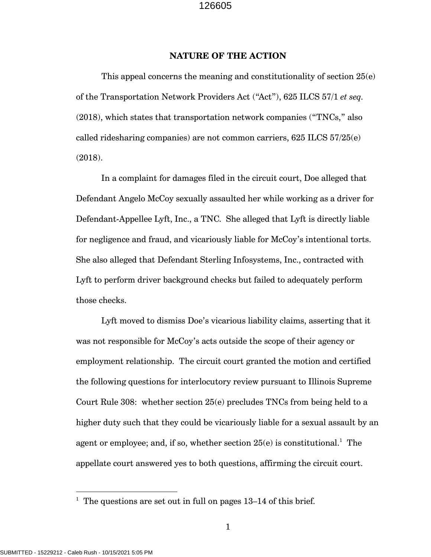#### **NATURE OF THE ACTION**

This appeal concerns the meaning and constitutionality of section 25(e) of the Transportation Network Providers Act ("Act"), 625 ILCS 57/1 *et seq.* (2018), which states that transportation network companies ("TNCs," also called ridesharing companies) are not common carriers, 625 ILCS 57/25(e) (2018).

In a complaint for damages filed in the circuit court, Doe alleged that Defendant Angelo McCoy sexually assaulted her while working as a driver for Defendant-Appellee Lyft, Inc., a TNC. She alleged that Lyft is directly liable for negligence and fraud, and vicariously liable for McCoy's intentional torts. She also alleged that Defendant Sterling Infosystems, Inc., contracted with Lyft to perform driver background checks but failed to adequately perform those checks.

Lyft moved to dismiss Doe's vicarious liability claims, asserting that it was not responsible for McCoy's acts outside the scope of their agency or employment relationship. The circuit court granted the motion and certified the following questions for interlocutory review pursuant to Illinois Supreme Court Rule 308: whether section 25(e) precludes TNCs from being held to a higher duty such that they could be vicariously liable for a sexual assault by an agent or employee; and, if so, whether section  $25(e)$  is constitutional.<sup>1</sup> The appellate court answered yes to both questions, affirming the circuit court.

<sup>&</sup>lt;sup>1</sup> The questions are set out in full on pages  $13-14$  of this brief.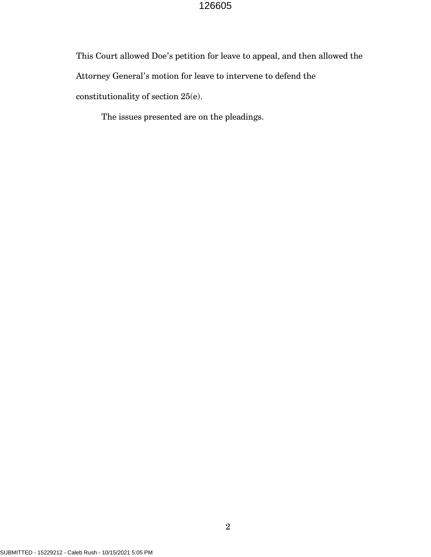This Court allowed Doe's petition for leave to appeal, and then allowed the Attorney General's motion for leave to intervene to defend the constitutionality of section 25(e).

The issues presented are on the pleadings.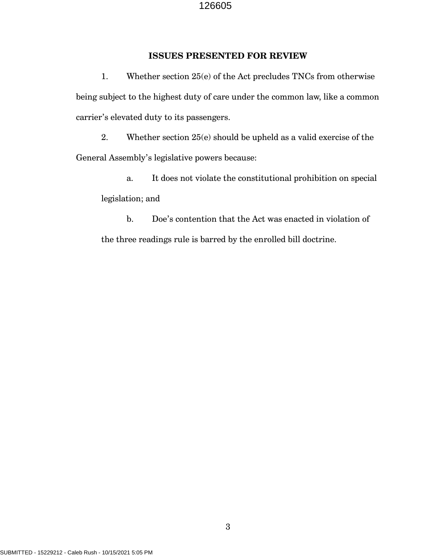## **ISSUES PRESENTED FOR REVIEW**

1. Whether section 25(e) of the Act precludes TNCs from otherwise being subject to the highest duty of care under the common law, like a common carrier's elevated duty to its passengers.

2. Whether section 25(e) should be upheld as a valid exercise of the General Assembly's legislative powers because:

a. It does not violate the constitutional prohibition on special legislation; and

b. Doe's contention that the Act was enacted in violation of the three readings rule is barred by the enrolled bill doctrine.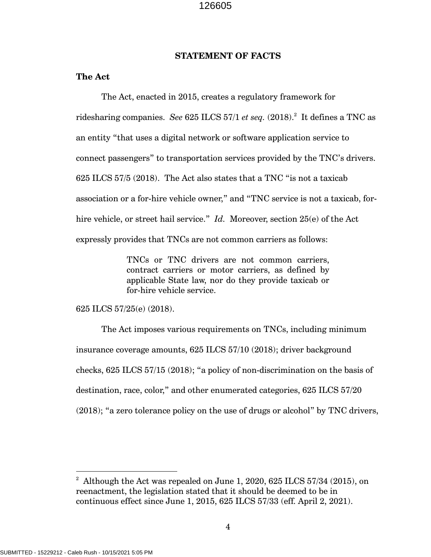#### **STATEMENT OF FACTS**

#### **The Act**

The Act, enacted in 2015, creates a regulatory framework for ridesharing companies. *See* 625 ILCS 57/1 *et seq.* (2018).<sup>2</sup> It defines a TNC as an entity "that uses a digital network or software application service to connect passengers" to transportation services provided by the TNC's drivers. 625 ILCS 57/5 (2018). The Act also states that a TNC "is not a taxicab association or a for-hire vehicle owner," and "TNC service is not a taxicab, forhire vehicle, or street hail service." *Id.* Moreover, section 25(e) of the Act expressly provides that TNCs are not common carriers as follows:

> TNCs or TNC drivers are not common carriers, contract carriers or motor carriers, as defined by applicable State law, nor do they provide taxicab or for-hire vehicle service.

625 ILCS 57/25(e) (2018).

The Act imposes various requirements on TNCs, including minimum insurance coverage amounts, 625 ILCS 57/10 (2018); driver background checks, 625 ILCS 57/15 (2018); "a policy of non-discrimination on the basis of destination, race, color," and other enumerated categories, 625 ILCS 57/20 (2018); "a zero tolerance policy on the use of drugs or alcohol" by TNC drivers,

 $^2$  Although the Act was repealed on June 1, 2020, 625 ILCS 57/34 (2015), on reenactment, the legislation stated that it should be deemed to be in continuous effect since June 1, 2015, 625 ILCS 57/33 (eff. April 2, 2021).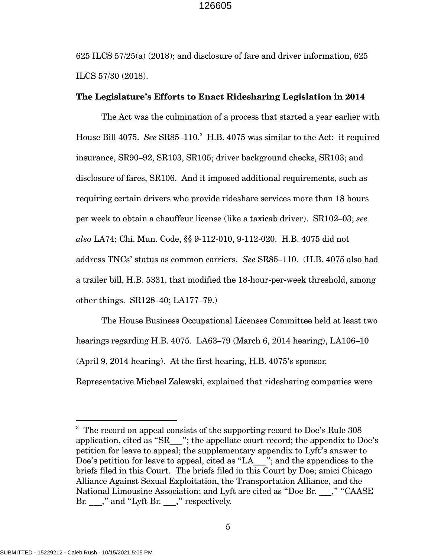$625$  ILCS  $57/25$ (a) (2018); and disclosure of fare and driver information,  $625$ ILCS 57/30 (2018).

#### **The Legislature's Efforts to Enact Ridesharing Legislation in 2014**

The Act was the culmination of a process that started a year earlier with House Bill 4075. See SR85-110.<sup>3</sup> H.B. 4075 was similar to the Act: it required insurance, SR90–92, SR103, SR105; driver background checks, SR103; and disclosure of fares, SR106. And it imposed additional requirements, such as requiring certain drivers who provide rideshare services more than 18 hours per week to obtain a chauffeur license (like a taxicab driver). SR102–03; *see also* LA74; Chi. Mun. Code, §§ 9-112-010, 9-112-020. H.B. 4075 did not address TNCs' status as common carriers. *See* SR85–110. (H.B. 4075 also had a trailer bill, H.B. 5331, that modified the 18-hour-per-week threshold, among other things. SR128–40; LA177–79.)

The House Business Occupational Licenses Committee held at least two hearings regarding H.B. 4075. LA63–79 (March 6, 2014 hearing), LA106–10 (April 9, 2014 hearing). At the first hearing, H.B. 4075's sponsor, Representative Michael Zalewski, explained that ridesharing companies were

SUBMITTED - 15229212 - Caleb Rush - 10/15/2021 5:05 PM

<sup>&</sup>lt;sup>3</sup> The record on appeal consists of the supporting record to Doe's Rule 308 application, cited as "SR $\qquad$ "; the appellate court record; the appendix to Doe's petition for leave to appeal; the supplementary appendix to Lyft's answer to Doe's petition for leave to appeal, cited as "LA \_\_\_"; and the appendices to the briefs filed in this Court. The briefs filed in this Court by Doe; amici Chicago Alliance Against Sexual Exploitation, the Transportation Alliance, and the National Limousine Association; and Lyft are cited as "Doe Br. ...," "CAASE" Br. ," and "Lyft Br. ," respectively.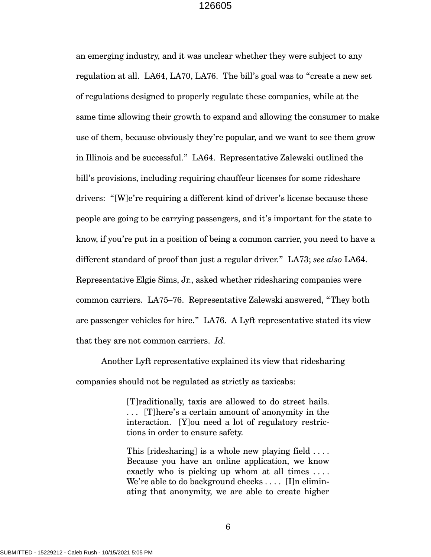an emerging industry, and it was unclear whether they were subject to any regulation at all. LA64, LA70, LA76. The bill's goal was to "create a new set of regulations designed to properly regulate these companies, while at the same time allowing their growth to expand and allowing the consumer to make use of them, because obviously they're popular, and we want to see them grow in Illinois and be successful." LA64. Representative Zalewski outlined the bill's provisions, including requiring chauffeur licenses for some rideshare drivers: "[W]e're requiring a different kind of driver's license because these people are going to be carrying passengers, and it's important for the state to know, if you're put in a position of being a common carrier, you need to have a different standard of proof than just a regular driver." LA73; *see also* LA64. Representative Elgie Sims, Jr., asked whether ridesharing companies were common carriers. LA75–76. Representative Zalewski answered, "They both are passenger vehicles for hire." LA76. A Lyft representative stated its view that they are not common carriers. *Id.*

Another Lyft representative explained its view that ridesharing companies should not be regulated as strictly as taxicabs:

> [T]raditionally, taxis are allowed to do street hails. . . . [T]here's a certain amount of anonymity in the interaction. [Y]ou need a lot of regulatory restrictions in order to ensure safety.

> This [ridesharing] is a whole new playing field .... Because you have an online application, we know exactly who is picking up whom at all times . . . . We're able to do background checks . . . . [I]n eliminating that anonymity, we are able to create higher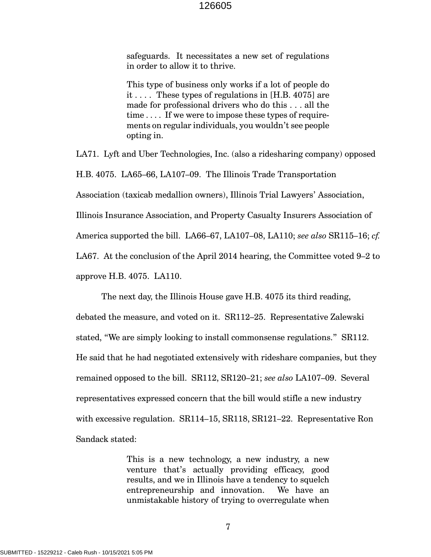safeguards. It necessitates a new set of regulations in order to allow it to thrive.

This type of business only works if a lot of people do it . . . . These types of regulations in [H.B. 4075] are made for professional drivers who do this . . . all the time . . . . If we were to impose these types of requirements on regular individuals, you wouldn't see people opting in.

LA71. Lyft and Uber Technologies, Inc. (also a ridesharing company) opposed H.B. 4075. LA65–66, LA107–09. The Illinois Trade Transportation Association (taxicab medallion owners), Illinois Trial Lawyers' Association, Illinois Insurance Association, and Property Casualty Insurers Association of America supported the bill. LA66–67, LA107–08, LA110; *see also* SR115–16; *cf.* LA67. At the conclusion of the April 2014 hearing, the Committee voted 9–2 to approve H.B. 4075. LA110.

The next day, the Illinois House gave H.B. 4075 its third reading, debated the measure, and voted on it. SR112–25. Representative Zalewski stated, "We are simply looking to install commonsense regulations." SR112. He said that he had negotiated extensively with rideshare companies, but they remained opposed to the bill. SR112, SR120–21; *see also* LA107–09. Several representatives expressed concern that the bill would stifle a new industry with excessive regulation. SR114–15, SR118, SR121–22. Representative Ron Sandack stated:

> This is a new technology, a new industry, a new venture that's actually providing efficacy, good results, and we in Illinois have a tendency to squelch entrepreneurship and innovation. We have an unmistakable history of trying to overregulate when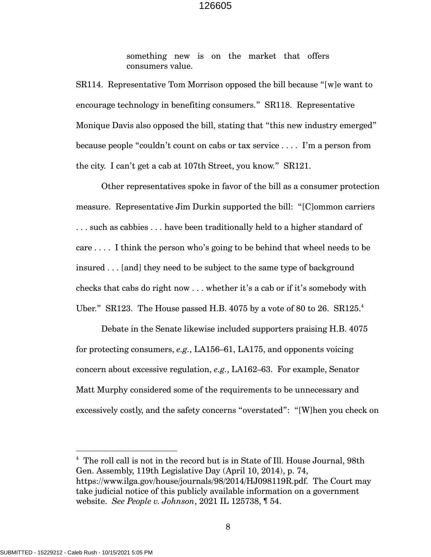something new is on the market that offers consumers value.

SR114. Representative Tom Morrison opposed the bill because "[w]e want to encourage technology in benefiting consumers." SR118. Representative Monique Davis also opposed the bill, stating that "this new industry emerged" because people "couldn't count on cabs or tax service . . . . I'm a person from the city. I can't get a cab at 107th Street, you know." SR121.

Other representatives spoke in favor of the bill as a consumer protection measure. Representative Jim Durkin supported the bill: "[C]ommon carriers . . . such as cabbies . . . have been traditionally held to a higher standard of care . . . . I think the person who's going to be behind that wheel needs to be insured . . . [and] they need to be subject to the same type of background checks that cabs do right now . . . whether it's a cab or if it's somebody with Uber." SR123. The House passed H.B.  $4075$  by a vote of 80 to 26. SR125.<sup>4</sup>

Debate in the Senate likewise included supporters praising H.B. 4075 for protecting consumers, *e.g.*, LA156–61, LA175, and opponents voicing concern about excessive regulation, *e.g.*, LA162–63. For example, Senator Matt Murphy considered some of the requirements to be unnecessary and excessively costly, and the safety concerns "overstated": "[W]hen you check on

<sup>&</sup>lt;sup>4</sup> The roll call is not in the record but is in State of Ill. House Journal, 98th Gen. Assembly, 119th Legislative Day (April 10, 2014), p. 74, https://www.ilga.gov/house/journals/98/2014/HJ098119R.pdf. The Court may take judicial notice of this publicly available information on a government website. *See People v. Johnson*, 2021 IL 125738, ¶ 54.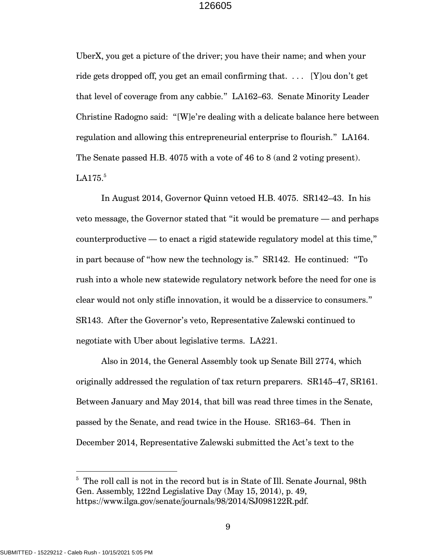UberX, you get a picture of the driver; you have their name; and when your ride gets dropped off, you get an email confirming that. . . . [Y]ou don't get that level of coverage from any cabbie." LA162–63. Senate Minority Leader Christine Radogno said: "[W]e're dealing with a delicate balance here between regulation and allowing this entrepreneurial enterprise to flourish." LA164. The Senate passed H.B. 4075 with a vote of 46 to 8 (and 2 voting present).  $LA175.<sup>5</sup>$ 

In August 2014, Governor Quinn vetoed H.B. 4075. SR142–43. In his veto message, the Governor stated that "it would be premature — and perhaps counterproductive — to enact a rigid statewide regulatory model at this time," in part because of "how new the technology is." SR142. He continued: "To rush into a whole new statewide regulatory network before the need for one is clear would not only stifle innovation, it would be a disservice to consumers." SR143. After the Governor's veto, Representative Zalewski continued to negotiate with Uber about legislative terms. LA221.

Also in 2014, the General Assembly took up Senate Bill 2774, which originally addressed the regulation of tax return preparers. SR145–47, SR161. Between January and May 2014, that bill was read three times in the Senate, passed by the Senate, and read twice in the House. SR163–64. Then in December 2014, Representative Zalewski submitted the Act's text to the

<sup>&</sup>lt;sup>5</sup> The roll call is not in the record but is in State of Ill. Senate Journal, 98th Gen. Assembly, 122nd Legislative Day (May 15, 2014), p. 49, https://www.ilga.gov/senate/journals/98/2014/SJ098122R.pdf.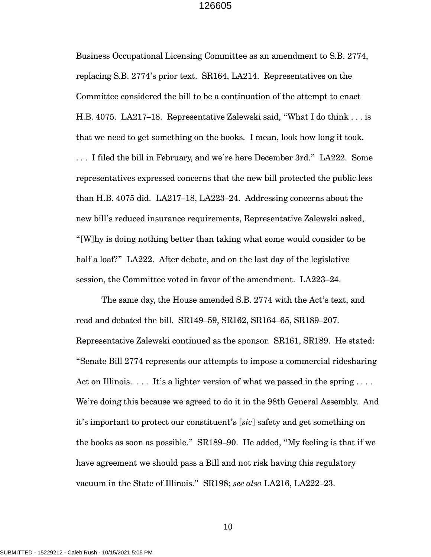Business Occupational Licensing Committee as an amendment to S.B. 2774, replacing S.B. 2774's prior text. SR164, LA214. Representatives on the Committee considered the bill to be a continuation of the attempt to enact H.B. 4075. LA217–18. Representative Zalewski said, "What I do think . . . is that we need to get something on the books. I mean, look how long it took. . . . I filed the bill in February, and we're here December 3rd." LA222. Some representatives expressed concerns that the new bill protected the public less than H.B. 4075 did. LA217–18, LA223–24. Addressing concerns about the new bill's reduced insurance requirements, Representative Zalewski asked, "[W]hy is doing nothing better than taking what some would consider to be half a loaf?" LA222. After debate, and on the last day of the legislative session, the Committee voted in favor of the amendment. LA223–24.

The same day, the House amended S.B. 2774 with the Act's text, and read and debated the bill. SR149–59, SR162, SR164–65, SR189–207. Representative Zalewski continued as the sponsor. SR161, SR189. He stated: "Senate Bill 2774 represents our attempts to impose a commercial ridesharing Act on Illinois.  $\dots$  It's a lighter version of what we passed in the spring  $\dots$ . We're doing this because we agreed to do it in the 98th General Assembly. And it's important to protect our constituent's [*sic*] safety and get something on the books as soon as possible." SR189–90. He added, "My feeling is that if we have agreement we should pass a Bill and not risk having this regulatory vacuum in the State of Illinois." SR198; *see also* LA216, LA222–23.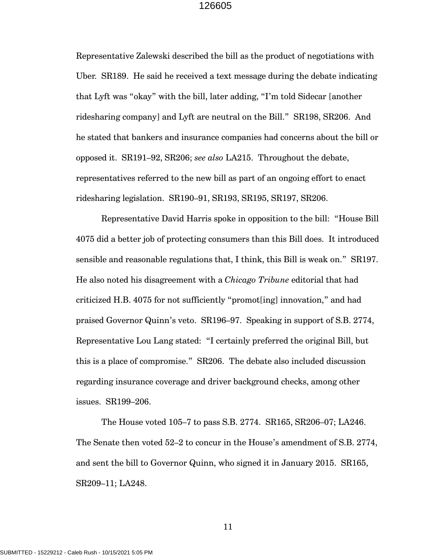Representative Zalewski described the bill as the product of negotiations with Uber. SR189. He said he received a text message during the debate indicating that Lyft was "okay" with the bill, later adding, "I'm told Sidecar [another ridesharing company] and Lyft are neutral on the Bill." SR198, SR206. And he stated that bankers and insurance companies had concerns about the bill or opposed it. SR191–92, SR206; *see also* LA215. Throughout the debate, representatives referred to the new bill as part of an ongoing effort to enact ridesharing legislation. SR190–91, SR193, SR195, SR197, SR206.

Representative David Harris spoke in opposition to the bill: "House Bill 4075 did a better job of protecting consumers than this Bill does. It introduced sensible and reasonable regulations that, I think, this Bill is weak on." SR197. He also noted his disagreement with a *Chicago Tribune* editorial that had criticized H.B. 4075 for not sufficiently "promot[ing] innovation," and had praised Governor Quinn's veto. SR196–97. Speaking in support of S.B. 2774, Representative Lou Lang stated: "I certainly preferred the original Bill, but this is a place of compromise." SR206. The debate also included discussion regarding insurance coverage and driver background checks, among other issues. SR199–206.

The House voted 105–7 to pass S.B. 2774. SR165, SR206–07; LA246. The Senate then voted 52–2 to concur in the House's amendment of S.B. 2774, and sent the bill to Governor Quinn, who signed it in January 2015. SR165, SR209–11; LA248.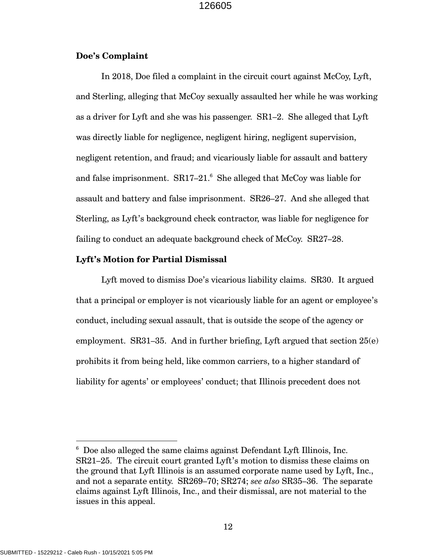## **Doe's Complaint**

In 2018, Doe filed a complaint in the circuit court against McCoy, Lyft, and Sterling, alleging that McCoy sexually assaulted her while he was working as a driver for Lyft and she was his passenger. SR1–2. She alleged that Lyft was directly liable for negligence, negligent hiring, negligent supervision, negligent retention, and fraud; and vicariously liable for assault and battery and false imprisonment.  $SR17-21$ <sup>6</sup> She alleged that McCoy was liable for assault and battery and false imprisonment. SR26–27. And she alleged that Sterling, as Lyft's background check contractor, was liable for negligence for failing to conduct an adequate background check of McCoy. SR27–28.

## **Lyft's Motion for Partial Dismissal**

Lyft moved to dismiss Doe's vicarious liability claims. SR30. It argued that a principal or employer is not vicariously liable for an agent or employee's conduct, including sexual assault, that is outside the scope of the agency or employment. SR31–35. And in further briefing, Lyft argued that section 25(e) prohibits it from being held, like common carriers, to a higher standard of liability for agents' or employees' conduct; that Illinois precedent does not

 $6$  Doe also alleged the same claims against Defendant Lyft Illinois, Inc. SR21–25. The circuit court granted Lyft's motion to dismiss these claims on the ground that Lyft Illinois is an assumed corporate name used by Lyft, Inc., and not a separate entity. SR269–70; SR274; *see also* SR35–36. The separate claims against Lyft Illinois, Inc., and their dismissal, are not material to the issues in this appeal.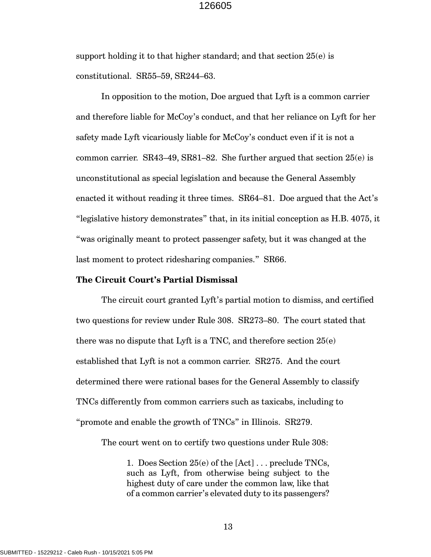support holding it to that higher standard; and that section 25(e) is constitutional. SR55–59, SR244–63.

In opposition to the motion, Doe argued that Lyft is a common carrier and therefore liable for McCoy's conduct, and that her reliance on Lyft for her safety made Lyft vicariously liable for McCoy's conduct even if it is not a common carrier.  $SR43-49$ ,  $SR81-82$ . She further argued that section  $25(e)$  is unconstitutional as special legislation and because the General Assembly enacted it without reading it three times. SR64–81. Doe argued that the Act's "legislative history demonstrates" that, in its initial conception as H.B. 4075, it "was originally meant to protect passenger safety, but it was changed at the last moment to protect ridesharing companies." SR66.

#### **The Circuit Court's Partial Dismissal**

The circuit court granted Lyft's partial motion to dismiss, and certified two questions for review under Rule 308. SR273–80. The court stated that there was no dispute that Lyft is a TNC, and therefore section  $25(e)$ established that Lyft is not a common carrier. SR275. And the court determined there were rational bases for the General Assembly to classify TNCs differently from common carriers such as taxicabs, including to "promote and enable the growth of TNCs" in Illinois. SR279.

The court went on to certify two questions under Rule 308:

1. Does Section 25(e) of the [Act] . . . preclude TNCs, such as Lyft, from otherwise being subject to the highest duty of care under the common law, like that of a common carrier's elevated duty to its passengers?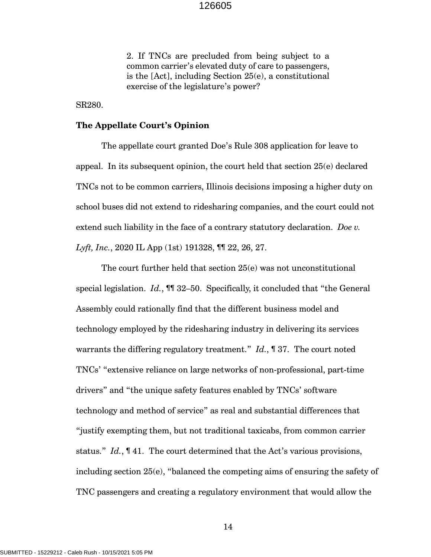2. If TNCs are precluded from being subject to a common carrier's elevated duty of care to passengers, is the [Act], including Section 25(e), a constitutional exercise of the legislature's power?

SR280.

#### **The Appellate Court's Opinion**

The appellate court granted Doe's Rule 308 application for leave to appeal. In its subsequent opinion, the court held that section 25(e) declared TNCs not to be common carriers, Illinois decisions imposing a higher duty on school buses did not extend to ridesharing companies, and the court could not extend such liability in the face of a contrary statutory declaration. *Doe v. Lyft, Inc.*, 2020 IL App (1st) 191328, ¶¶ 22, 26, 27.

The court further held that section 25(e) was not unconstitutional special legislation. *Id.*, ¶¶ 32–50. Specifically, it concluded that "the General Assembly could rationally find that the different business model and technology employed by the ridesharing industry in delivering its services warrants the differing regulatory treatment." *Id.*, ¶ 37. The court noted TNCs' "extensive reliance on large networks of non-professional, part-time drivers" and "the unique safety features enabled by TNCs' software technology and method of service" as real and substantial differences that "justify exempting them, but not traditional taxicabs, from common carrier status." *Id.*, ¶ 41. The court determined that the Act's various provisions, including section 25(e), "balanced the competing aims of ensuring the safety of TNC passengers and creating a regulatory environment that would allow the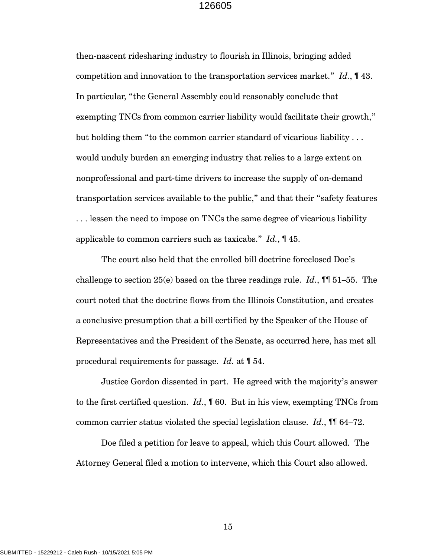then-nascent ridesharing industry to flourish in Illinois, bringing added competition and innovation to the transportation services market." *Id.*, ¶ 43. In particular, "the General Assembly could reasonably conclude that exempting TNCs from common carrier liability would facilitate their growth," but holding them "to the common carrier standard of vicarious liability . . . would unduly burden an emerging industry that relies to a large extent on nonprofessional and part-time drivers to increase the supply of on-demand transportation services available to the public," and that their "safety features . . . lessen the need to impose on TNCs the same degree of vicarious liability applicable to common carriers such as taxicabs." *Id.*, ¶ 45.

The court also held that the enrolled bill doctrine foreclosed Doe's challenge to section  $25(e)$  based on the three readings rule. *Id.*, **¶** 51–55. The court noted that the doctrine flows from the Illinois Constitution, and creates a conclusive presumption that a bill certified by the Speaker of the House of Representatives and the President of the Senate, as occurred here, has met all procedural requirements for passage. *Id.* at ¶ 54.

Justice Gordon dissented in part. He agreed with the majority's answer to the first certified question. *Id.*, ¶ 60. But in his view, exempting TNCs from common carrier status violated the special legislation clause. *Id.*, ¶¶ 64–72.

Doe filed a petition for leave to appeal, which this Court allowed. The Attorney General filed a motion to intervene, which this Court also allowed.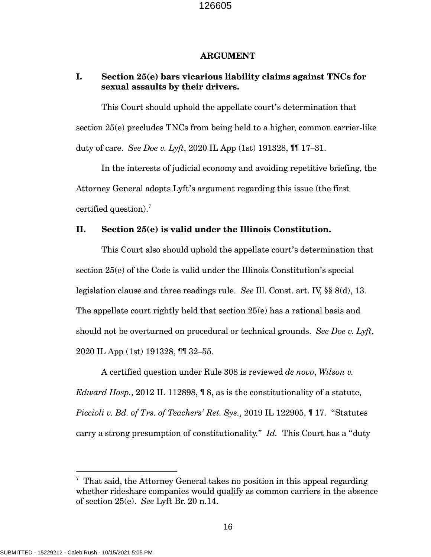#### **ARGUMENT**

## **I. Section 25(e) bars vicarious liability claims against TNCs for sexual assaults by their drivers.**

This Court should uphold the appellate court's determination that section 25(e) precludes TNCs from being held to a higher, common carrier-like duty of care. *See Doe v. Lyft*, 2020 IL App (1st) 191328, ¶¶ 17–31.

In the interests of judicial economy and avoiding repetitive briefing, the Attorney General adopts Lyft's argument regarding this issue (the first certified question).<sup>7</sup>

## **II. Section 25(e) is valid under the Illinois Constitution.**

This Court also should uphold the appellate court's determination that section 25(e) of the Code is valid under the Illinois Constitution's special legislation clause and three readings rule. *See* Ill. Const. art. IV, §§ 8(d), 13. The appellate court rightly held that section 25(e) has a rational basis and should not be overturned on procedural or technical grounds. *See Doe v. Lyft*, 2020 IL App (1st) 191328, ¶¶ 32–55.

A certified question under Rule 308 is reviewed *de novo*, *Wilson v. Edward Hosp.*, 2012 IL 112898, ¶ 8, as is the constitutionality of a statute, *Piccioli v. Bd. of Trs. of Teachers' Ret. Sys.*, 2019 IL 122905, ¶ 17. "Statutes carry a strong presumption of constitutionality." *Id.* This Court has a "duty

 $7$  That said, the Attorney General takes no position in this appeal regarding whether rideshare companies would qualify as common carriers in the absence of section 25(e). *See* Lyft Br. 20 n.14.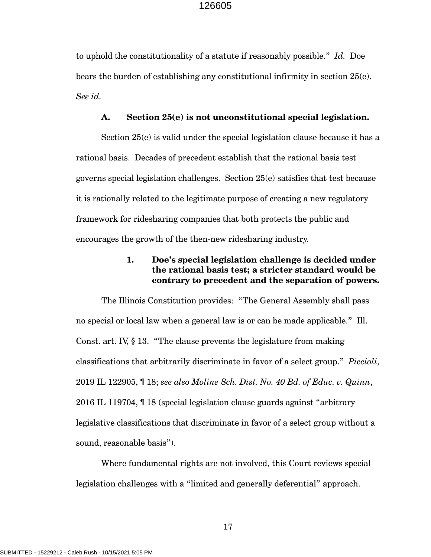to uphold the constitutionality of a statute if reasonably possible." *Id.* Doe bears the burden of establishing any constitutional infirmity in section 25(e). *See id.*

#### **A. Section 25(e) is not unconstitutional special legislation.**

Section 25(e) is valid under the special legislation clause because it has a rational basis. Decades of precedent establish that the rational basis test governs special legislation challenges. Section 25(e) satisfies that test because it is rationally related to the legitimate purpose of creating a new regulatory framework for ridesharing companies that both protects the public and encourages the growth of the then-new ridesharing industry.

# **1. Doe's special legislation challenge is decided under the rational basis test; a stricter standard would be contrary to precedent and the separation of powers.**

The Illinois Constitution provides: "The General Assembly shall pass no special or local law when a general law is or can be made applicable." Ill. Const. art. IV, § 13. "The clause prevents the legislature from making classifications that arbitrarily discriminate in favor of a select group." *Piccioli*, 2019 IL 122905, ¶ 18; *see also Moline Sch. Dist. No. 40 Bd. of Educ. v. Quinn*, 2016 IL 119704, ¶ 18 (special legislation clause guards against "arbitrary legislative classifications that discriminate in favor of a select group without a sound, reasonable basis").

Where fundamental rights are not involved, this Court reviews special legislation challenges with a "limited and generally deferential" approach.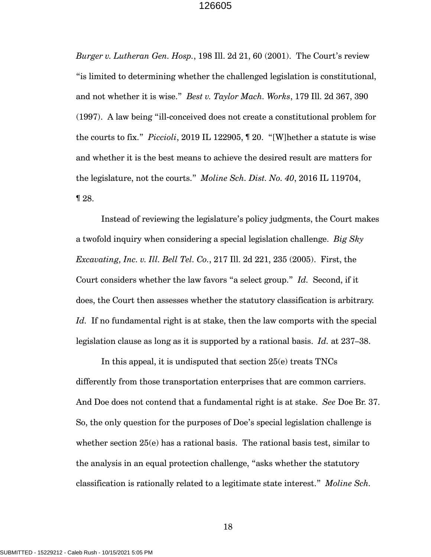*Burger v. Lutheran Gen. Hosp.*, 198 Ill. 2d 21, 60 (2001). The Court's review "is limited to determining whether the challenged legislation is constitutional, and not whether it is wise." *Best v. Taylor Mach. Works*, 179 Ill. 2d 367, 390 (1997). A law being "ill-conceived does not create a constitutional problem for the courts to fix." *Piccioli*, 2019 IL 122905, ¶ 20. "[W]hether a statute is wise and whether it is the best means to achieve the desired result are matters for the legislature, not the courts." *Moline Sch. Dist. No. 40*, 2016 IL 119704, ¶ 28.

Instead of reviewing the legislature's policy judgments, the Court makes a twofold inquiry when considering a special legislation challenge. *Big Sky Excavating, Inc. v. Ill. Bell Tel. Co.*, 217 Ill. 2d 221, 235 (2005). First, the Court considers whether the law favors "a select group." *Id.* Second, if it does, the Court then assesses whether the statutory classification is arbitrary. *Id.* If no fundamental right is at stake, then the law comports with the special legislation clause as long as it is supported by a rational basis. *Id.* at 237–38.

In this appeal, it is undisputed that section 25(e) treats TNCs differently from those transportation enterprises that are common carriers. And Doe does not contend that a fundamental right is at stake. *See* Doe Br. 37. So, the only question for the purposes of Doe's special legislation challenge is whether section 25(e) has a rational basis. The rational basis test, similar to the analysis in an equal protection challenge, "asks whether the statutory classification is rationally related to a legitimate state interest." *Moline Sch.*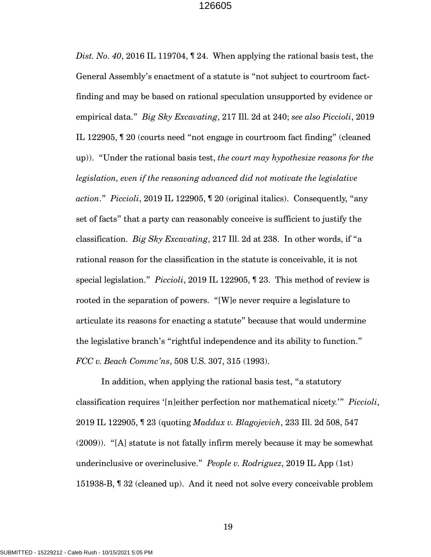*Dist. No. 40*, 2016 IL 119704, ¶ 24. When applying the rational basis test, the General Assembly's enactment of a statute is "not subject to courtroom factfinding and may be based on rational speculation unsupported by evidence or empirical data." *Big Sky Excavating*, 217 Ill. 2d at 240; *see also Piccioli*, 2019 IL 122905, ¶ 20 (courts need "not engage in courtroom fact finding" (cleaned up)). "Under the rational basis test, *the court may hypothesize reasons for the legislation, even if the reasoning advanced did not motivate the legislative action*." *Piccioli*, 2019 IL 122905, ¶ 20 (original italics). Consequently, "any set of facts" that a party can reasonably conceive is sufficient to justify the classification. *Big Sky Excavating*, 217 Ill. 2d at 238. In other words, if "a rational reason for the classification in the statute is conceivable, it is not special legislation." *Piccioli*, 2019 IL 122905, ¶ 23. This method of review is rooted in the separation of powers. "[W]e never require a legislature to articulate its reasons for enacting a statute" because that would undermine the legislative branch's "rightful independence and its ability to function." *FCC v. Beach Commc'ns*, 508 U.S. 307, 315 (1993).

In addition, when applying the rational basis test, "a statutory classification requires '[n]either perfection nor mathematical nicety.'" *Piccioli*, 2019 IL 122905, ¶ 23 (quoting *Maddux v. Blagojevich*, 233 Ill. 2d 508, 547 (2009)). "[A] statute is not fatally infirm merely because it may be somewhat underinclusive or overinclusive." *People v. Rodriguez*, 2019 IL App (1st) 151938-B, ¶ 32 (cleaned up). And it need not solve every conceivable problem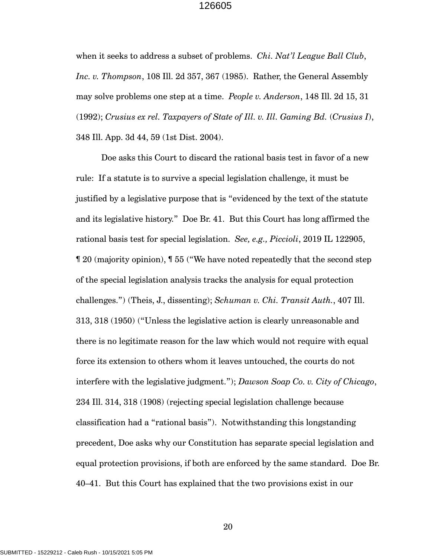when it seeks to address a subset of problems. *Chi. Nat'l League Ball Club*, *Inc. v. Thompson*, 108 Ill. 2d 357, 367 (1985). Rather, the General Assembly may solve problems one step at a time. *People v. Anderson*, 148 Ill. 2d 15, 31 (1992); *Crusius ex rel. Taxpayers of State of Ill. v. Ill. Gaming Bd.* (*Crusius I*), 348 Ill. App. 3d 44, 59 (1st Dist. 2004).

Doe asks this Court to discard the rational basis test in favor of a new rule: If a statute is to survive a special legislation challenge, it must be justified by a legislative purpose that is "evidenced by the text of the statute and its legislative history." Doe Br. 41. But this Court has long affirmed the rational basis test for special legislation. *See, e.g., Piccioli*, 2019 IL 122905, ¶ 20 (majority opinion), ¶ 55 ("We have noted repeatedly that the second step of the special legislation analysis tracks the analysis for equal protection challenges.") (Theis, J., dissenting); *Schuman v. Chi. Transit Auth.*, 407 Ill. 313, 318 (1950) ("Unless the legislative action is clearly unreasonable and there is no legitimate reason for the law which would not require with equal force its extension to others whom it leaves untouched, the courts do not interfere with the legislative judgment."); *Dawson Soap Co. v. City of Chicago*, 234 Ill. 314, 318 (1908) (rejecting special legislation challenge because classification had a "rational basis"). Notwithstanding this longstanding precedent, Doe asks why our Constitution has separate special legislation and equal protection provisions, if both are enforced by the same standard. Doe Br. 40–41. But this Court has explained that the two provisions exist in our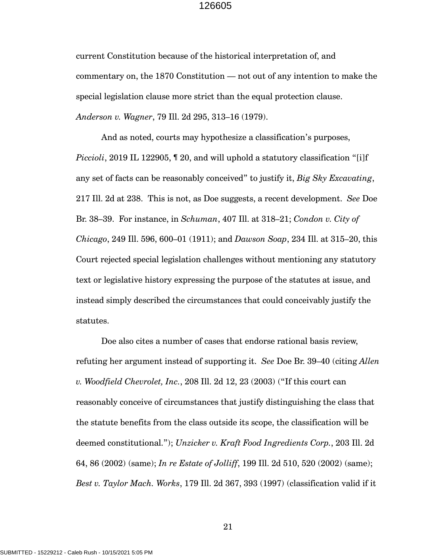current Constitution because of the historical interpretation of, and commentary on, the 1870 Constitution — not out of any intention to make the special legislation clause more strict than the equal protection clause. *Anderson v. Wagner*, 79 Ill. 2d 295, 313–16 (1979).

And as noted, courts may hypothesize a classification's purposes, *Piccioli*, 2019 IL 122905, 120, and will uphold a statutory classification "[i]f any set of facts can be reasonably conceived" to justify it, *Big Sky Excavating*, 217 Ill. 2d at 238. This is not, as Doe suggests, a recent development. *See* Doe Br. 38–39. For instance, in *Schuman*, 407 Ill. at 318–21; *Condon v. City of Chicago*, 249 Ill. 596, 600–01 (1911); and *Dawson Soap*, 234 Ill. at 315–20, this Court rejected special legislation challenges without mentioning any statutory text or legislative history expressing the purpose of the statutes at issue, and instead simply described the circumstances that could conceivably justify the statutes.

Doe also cites a number of cases that endorse rational basis review, refuting her argument instead of supporting it. *See* Doe Br. 39–40 (citing *Allen v. Woodfield Chevrolet, Inc.*, 208 Ill. 2d 12, 23 (2003) ("If this court can reasonably conceive of circumstances that justify distinguishing the class that the statute benefits from the class outside its scope, the classification will be deemed constitutional."); *Unzicker v. Kraft Food Ingredients Corp.*, 203 Ill. 2d 64, 86 (2002) (same); *In re Estate of Jolliff*, 199 Ill. 2d 510, 520 (2002) (same); *Best v. Taylor Mach. Works*, 179 Ill. 2d 367, 393 (1997) (classification valid if it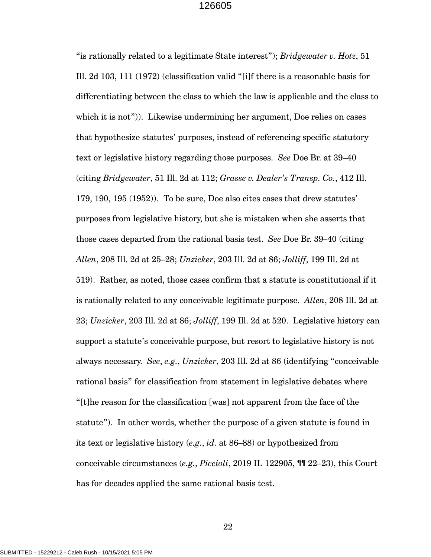"is rationally related to a legitimate State interest"); *Bridgewater v. Hotz*, 51 Ill. 2d 103, 111 (1972) (classification valid "[i]f there is a reasonable basis for differentiating between the class to which the law is applicable and the class to which it is not")). Likewise undermining her argument, Doe relies on cases that hypothesize statutes' purposes, instead of referencing specific statutory text or legislative history regarding those purposes. *See* Doe Br. at 39–40 (citing *Bridgewater*, 51 Ill. 2d at 112; *Grasse v. Dealer's Transp. Co.*, 412 Ill. 179, 190, 195 (1952)). To be sure, Doe also cites cases that drew statutes' purposes from legislative history, but she is mistaken when she asserts that those cases departed from the rational basis test. *See* Doe Br. 39–40 (citing *Allen*, 208 Ill. 2d at 25–28; *Unzicker*, 203 Ill. 2d at 86; *Jolliff*, 199 Ill. 2d at 519). Rather, as noted, those cases confirm that a statute is constitutional if it is rationally related to any conceivable legitimate purpose. *Allen*, 208 Ill. 2d at 23; *Unzicker*, 203 Ill. 2d at 86; *Jolliff*, 199 Ill. 2d at 520. Legislative history can support a statute's conceivable purpose, but resort to legislative history is not always necessary. *See*, *e.g.*, *Unzicker*, 203 Ill. 2d at 86 (identifying "conceivable rational basis" for classification from statement in legislative debates where "[t]he reason for the classification [was] not apparent from the face of the statute"). In other words, whether the purpose of a given statute is found in its text or legislative history (*e.g.*, *id.* at 86–88) or hypothesized from conceivable circumstances (*e.g.*, *Piccioli*, 2019 IL 122905, ¶¶ 22–23), this Court has for decades applied the same rational basis test.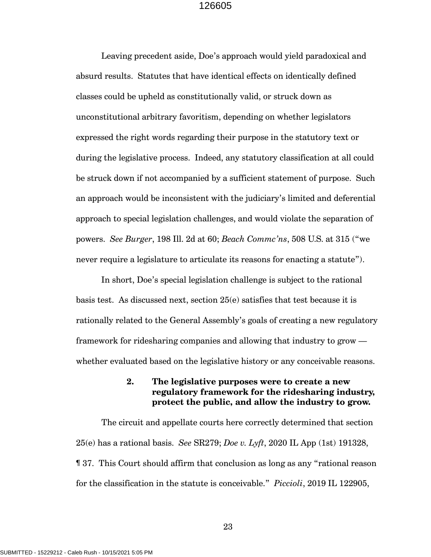Leaving precedent aside, Doe's approach would yield paradoxical and absurd results. Statutes that have identical effects on identically defined classes could be upheld as constitutionally valid, or struck down as unconstitutional arbitrary favoritism, depending on whether legislators expressed the right words regarding their purpose in the statutory text or during the legislative process. Indeed, any statutory classification at all could be struck down if not accompanied by a sufficient statement of purpose. Such an approach would be inconsistent with the judiciary's limited and deferential approach to special legislation challenges, and would violate the separation of powers. *See Burger*, 198 Ill. 2d at 60; *Beach Commc'ns*, 508 U.S. at 315 ("we never require a legislature to articulate its reasons for enacting a statute").

In short, Doe's special legislation challenge is subject to the rational basis test. As discussed next, section 25(e) satisfies that test because it is rationally related to the General Assembly's goals of creating a new regulatory framework for ridesharing companies and allowing that industry to grow whether evaluated based on the legislative history or any conceivable reasons.

> **2. The legislative purposes were to create a new regulatory framework for the ridesharing industry, protect the public, and allow the industry to grow.**

The circuit and appellate courts here correctly determined that section 25(e) has a rational basis. *See* SR279; *Doe v. Lyft*, 2020 IL App (1st) 191328, ¶ 37. This Court should affirm that conclusion as long as any "rational reason for the classification in the statute is conceivable." *Piccioli*, 2019 IL 122905,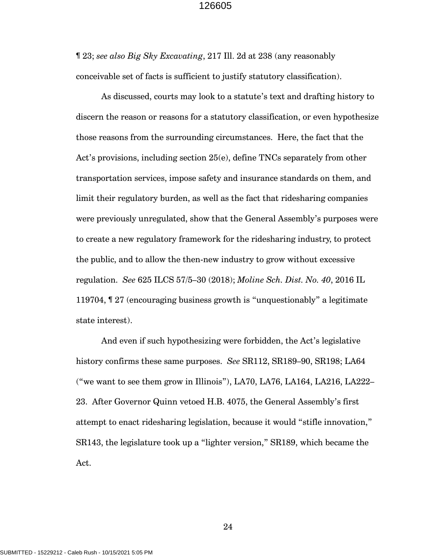¶ 23; *see also Big Sky Excavating*, 217 Ill. 2d at 238 (any reasonably conceivable set of facts is sufficient to justify statutory classification).

As discussed, courts may look to a statute's text and drafting history to discern the reason or reasons for a statutory classification, or even hypothesize those reasons from the surrounding circumstances. Here, the fact that the Act's provisions, including section 25(e), define TNCs separately from other transportation services, impose safety and insurance standards on them, and limit their regulatory burden, as well as the fact that ridesharing companies were previously unregulated, show that the General Assembly's purposes were to create a new regulatory framework for the ridesharing industry, to protect the public, and to allow the then-new industry to grow without excessive regulation. *See* 625 ILCS 57/5–30 (2018); *Moline Sch. Dist. No. 40*, 2016 IL 119704, ¶ 27 (encouraging business growth is "unquestionably" a legitimate state interest).

And even if such hypothesizing were forbidden, the Act's legislative history confirms these same purposes. *See* SR112, SR189–90, SR198; LA64 ("we want to see them grow in Illinois"), LA70, LA76, LA164, LA216, LA222– 23. After Governor Quinn vetoed H.B. 4075, the General Assembly's first attempt to enact ridesharing legislation, because it would "stifle innovation," SR143, the legislature took up a "lighter version," SR189, which became the Act.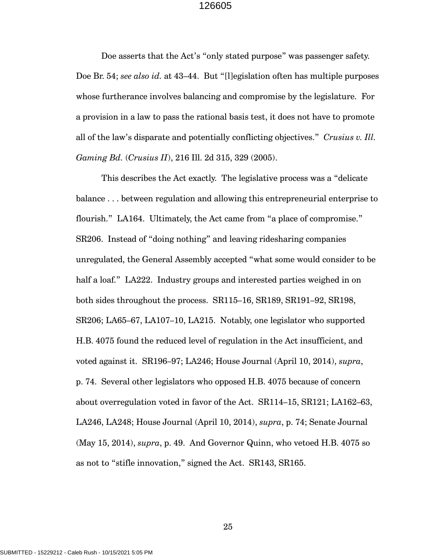Doe asserts that the Act's "only stated purpose" was passenger safety. Doe Br. 54; *see also id.* at 43–44. But "[l]egislation often has multiple purposes whose furtherance involves balancing and compromise by the legislature. For a provision in a law to pass the rational basis test, it does not have to promote all of the law's disparate and potentially conflicting objectives." *Crusius v. Ill. Gaming Bd.* (*Crusius II*), 216 Ill. 2d 315, 329 (2005).

This describes the Act exactly. The legislative process was a "delicate balance . . . between regulation and allowing this entrepreneurial enterprise to flourish." LA164. Ultimately, the Act came from "a place of compromise." SR206. Instead of "doing nothing" and leaving ridesharing companies unregulated, the General Assembly accepted "what some would consider to be half a loaf." LA222. Industry groups and interested parties weighed in on both sides throughout the process. SR115–16, SR189, SR191–92, SR198, SR206; LA65–67, LA107–10, LA215. Notably, one legislator who supported H.B. 4075 found the reduced level of regulation in the Act insufficient, and voted against it. SR196–97; LA246; House Journal (April 10, 2014), *supra*, p. 74. Several other legislators who opposed H.B. 4075 because of concern about overregulation voted in favor of the Act. SR114–15, SR121; LA162–63, LA246, LA248; House Journal (April 10, 2014), *supra*, p. 74; Senate Journal (May 15, 2014), *supra*, p. 49. And Governor Quinn, who vetoed H.B. 4075 so as not to "stifle innovation," signed the Act. SR143, SR165.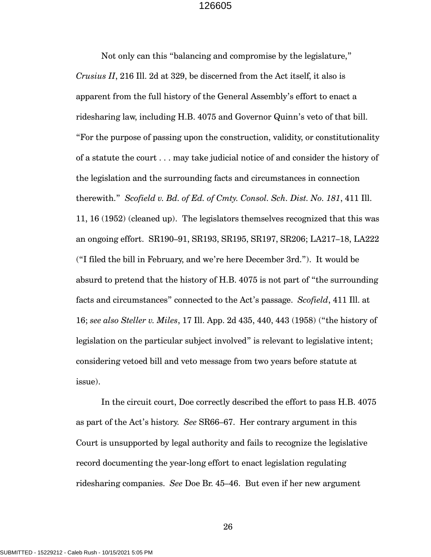Not only can this "balancing and compromise by the legislature," *Crusius II*, 216 Ill. 2d at 329, be discerned from the Act itself, it also is apparent from the full history of the General Assembly's effort to enact a ridesharing law, including H.B. 4075 and Governor Quinn's veto of that bill. "For the purpose of passing upon the construction, validity, or constitutionality of a statute the court . . . may take judicial notice of and consider the history of the legislation and the surrounding facts and circumstances in connection therewith." *Scofield v. Bd. of Ed. of Cmty. Consol. Sch. Dist. No. 181*, 411 Ill. 11, 16 (1952) (cleaned up). The legislators themselves recognized that this was an ongoing effort. SR190–91, SR193, SR195, SR197, SR206; LA217–18, LA222 ("I filed the bill in February, and we're here December 3rd."). It would be absurd to pretend that the history of H.B. 4075 is not part of "the surrounding facts and circumstances" connected to the Act's passage. *Scofield*, 411 Ill. at 16; *see also Steller v. Miles*, 17 Ill. App. 2d 435, 440, 443 (1958) ("the history of legislation on the particular subject involved" is relevant to legislative intent; considering vetoed bill and veto message from two years before statute at issue).

In the circuit court, Doe correctly described the effort to pass H.B. 4075 as part of the Act's history. *See* SR66–67. Her contrary argument in this Court is unsupported by legal authority and fails to recognize the legislative record documenting the year-long effort to enact legislation regulating ridesharing companies. *See* Doe Br. 45–46. But even if her new argument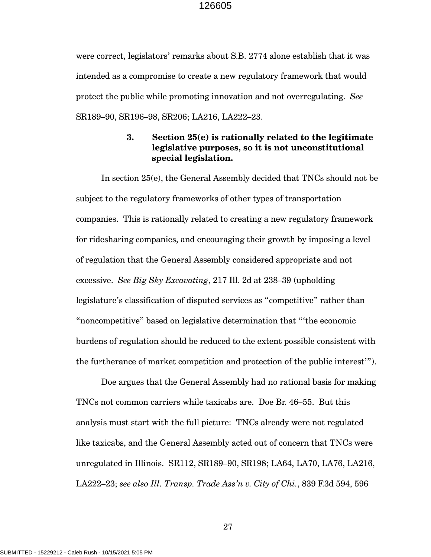were correct, legislators' remarks about S.B. 2774 alone establish that it was intended as a compromise to create a new regulatory framework that would protect the public while promoting innovation and not overregulating. *See* SR189–90, SR196–98, SR206; LA216, LA222–23.

# **3. Section 25(e) is rationally related to the legitimate legislative purposes, so it is not unconstitutional special legislation.**

In section 25(e), the General Assembly decided that TNCs should not be subject to the regulatory frameworks of other types of transportation companies. This is rationally related to creating a new regulatory framework for ridesharing companies, and encouraging their growth by imposing a level of regulation that the General Assembly considered appropriate and not excessive. *See Big Sky Excavating*, 217 Ill. 2d at 238–39 (upholding legislature's classification of disputed services as "competitive" rather than "noncompetitive" based on legislative determination that "'the economic burdens of regulation should be reduced to the extent possible consistent with the furtherance of market competition and protection of the public interest'").

Doe argues that the General Assembly had no rational basis for making TNCs not common carriers while taxicabs are. Doe Br. 46–55. But this analysis must start with the full picture: TNCs already were not regulated like taxicabs, and the General Assembly acted out of concern that TNCs were unregulated in Illinois. SR112, SR189–90, SR198; LA64, LA70, LA76, LA216, LA222–23; *see also Ill. Transp. Trade Ass'n v. City of Chi.*, 839 F.3d 594, 596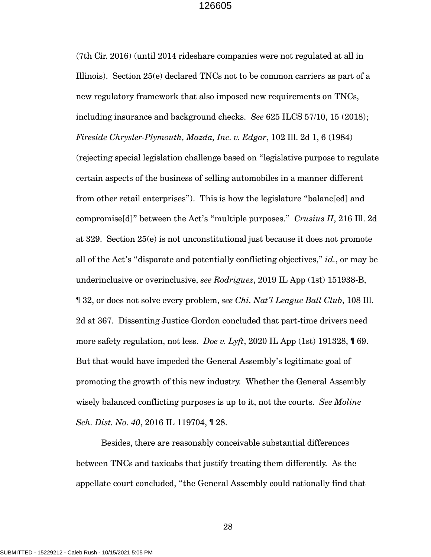(7th Cir. 2016) (until 2014 rideshare companies were not regulated at all in Illinois). Section 25(e) declared TNCs not to be common carriers as part of a new regulatory framework that also imposed new requirements on TNCs, including insurance and background checks. *See* 625 ILCS 57/10, 15 (2018); *Fireside Chrysler-Plymouth, Mazda, Inc. v. Edgar*, 102 Ill. 2d 1, 6 (1984) (rejecting special legislation challenge based on "legislative purpose to regulate certain aspects of the business of selling automobiles in a manner different from other retail enterprises"). This is how the legislature "balanc[ed] and compromise[d]" between the Act's "multiple purposes." *Crusius II*, 216 Ill. 2d at 329. Section 25(e) is not unconstitutional just because it does not promote all of the Act's "disparate and potentially conflicting objectives," *id.*, or may be underinclusive or overinclusive, *see Rodriguez*, 2019 IL App (1st) 151938-B, ¶ 32, or does not solve every problem, *see Chi. Nat'l League Ball Club*, 108 Ill. 2d at 367. Dissenting Justice Gordon concluded that part-time drivers need more safety regulation, not less. *Doe v. Lyft*, 2020 IL App (1st) 191328, ¶ 69. But that would have impeded the General Assembly's legitimate goal of promoting the growth of this new industry. Whether the General Assembly wisely balanced conflicting purposes is up to it, not the courts. *See Moline Sch. Dist. No. 40*, 2016 IL 119704, ¶ 28.

Besides, there are reasonably conceivable substantial differences between TNCs and taxicabs that justify treating them differently. As the appellate court concluded, "the General Assembly could rationally find that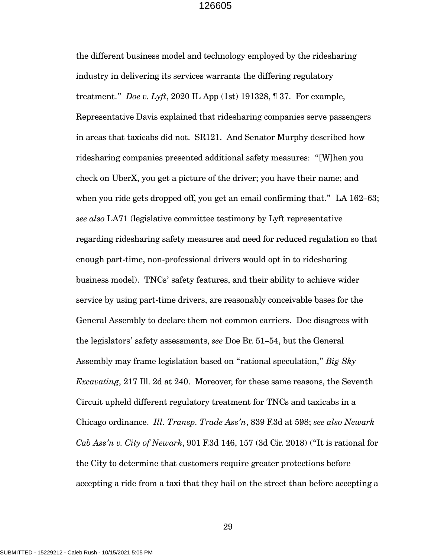the different business model and technology employed by the ridesharing industry in delivering its services warrants the differing regulatory treatment." *Doe v. Lyft*, 2020 IL App (1st) 191328, ¶ 37. For example, Representative Davis explained that ridesharing companies serve passengers in areas that taxicabs did not. SR121. And Senator Murphy described how ridesharing companies presented additional safety measures: "[W]hen you check on UberX, you get a picture of the driver; you have their name; and when you ride gets dropped off, you get an email confirming that." LA 162–63; *see also* LA71 (legislative committee testimony by Lyft representative regarding ridesharing safety measures and need for reduced regulation so that enough part-time, non-professional drivers would opt in to ridesharing business model). TNCs' safety features, and their ability to achieve wider service by using part-time drivers, are reasonably conceivable bases for the General Assembly to declare them not common carriers. Doe disagrees with the legislators' safety assessments, *see* Doe Br. 51–54, but the General Assembly may frame legislation based on "rational speculation," *Big Sky Excavating*, 217 Ill. 2d at 240. Moreover, for these same reasons, the Seventh Circuit upheld different regulatory treatment for TNCs and taxicabs in a Chicago ordinance. *Ill. Transp. Trade Ass'n*, 839 F.3d at 598; *see also Newark Cab Ass'n v. City of Newark*, 901 F.3d 146, 157 (3d Cir. 2018) ("It is rational for the City to determine that customers require greater protections before accepting a ride from a taxi that they hail on the street than before accepting a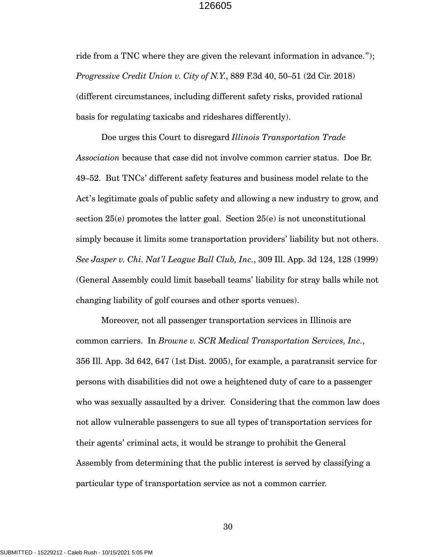ride from a TNC where they are given the relevant information in advance."); *Progressive Credit Union v. City of N.Y.*, 889 F.3d 40, 50–51 (2d Cir. 2018) (different circumstances, including different safety risks, provided rational basis for regulating taxicabs and rideshares differently).

Doe urges this Court to disregard *Illinois Transportation Trade Association* because that case did not involve common carrier status. Doe Br. 49–52. But TNCs' different safety features and business model relate to the Act's legitimate goals of public safety and allowing a new industry to grow, and section  $25(e)$  promotes the latter goal. Section  $25(e)$  is not unconstitutional simply because it limits some transportation providers' liability but not others. *See Jasper v. Chi. Nat'l League Ball Club, Inc.*, 309 Ill. App. 3d 124, 128 (1999) (General Assembly could limit baseball teams' liability for stray balls while not changing liability of golf courses and other sports venues).

Moreover, not all passenger transportation services in Illinois are common carriers. In *Browne v. SCR Medical Transportation Services, Inc.*, 356 Ill. App. 3d 642, 647 (1st Dist. 2005), for example, a paratransit service for persons with disabilities did not owe a heightened duty of care to a passenger who was sexually assaulted by a driver. Considering that the common law does not allow vulnerable passengers to sue all types of transportation services for their agents' criminal acts, it would be strange to prohibit the General Assembly from determining that the public interest is served by classifying a particular type of transportation service as not a common carrier.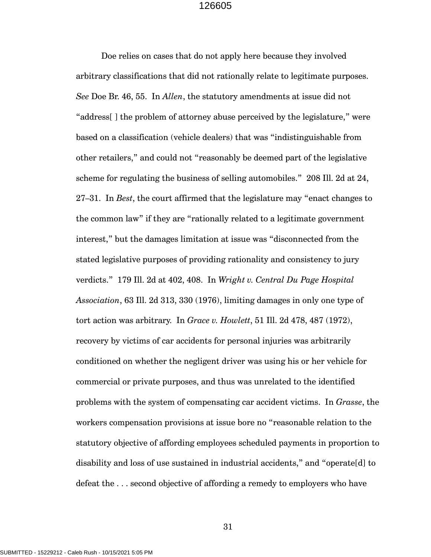Doe relies on cases that do not apply here because they involved arbitrary classifications that did not rationally relate to legitimate purposes. *See* Doe Br. 46, 55. In *Allen*, the statutory amendments at issue did not "address[ ] the problem of attorney abuse perceived by the legislature," were based on a classification (vehicle dealers) that was "indistinguishable from other retailers," and could not "reasonably be deemed part of the legislative scheme for regulating the business of selling automobiles." 208 Ill. 2d at 24, 27–31. In *Best*, the court affirmed that the legislature may "enact changes to the common law" if they are "rationally related to a legitimate government interest," but the damages limitation at issue was "disconnected from the stated legislative purposes of providing rationality and consistency to jury verdicts." 179 Ill. 2d at 402, 408. In *Wright v. Central Du Page Hospital Association*, 63 Ill. 2d 313, 330 (1976), limiting damages in only one type of tort action was arbitrary. In *Grace v. Howlett*, 51 Ill. 2d 478, 487 (1972), recovery by victims of car accidents for personal injuries was arbitrarily conditioned on whether the negligent driver was using his or her vehicle for commercial or private purposes, and thus was unrelated to the identified problems with the system of compensating car accident victims. In *Grasse*, the workers compensation provisions at issue bore no "reasonable relation to the statutory objective of affording employees scheduled payments in proportion to disability and loss of use sustained in industrial accidents," and "operate[d] to defeat the . . . second objective of affording a remedy to employers who have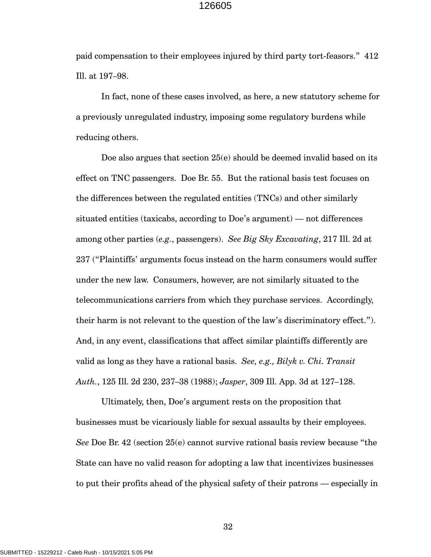paid compensation to their employees injured by third party tort-feasors." 412 Ill. at 197–98.

In fact, none of these cases involved, as here, a new statutory scheme for a previously unregulated industry, imposing some regulatory burdens while reducing others.

Doe also argues that section 25(e) should be deemed invalid based on its effect on TNC passengers. Doe Br. 55. But the rational basis test focuses on the differences between the regulated entities (TNCs) and other similarly situated entities (taxicabs, according to Doe's argument) — not differences among other parties (*e.g.*, passengers). *See Big Sky Excavating*, 217 Ill. 2d at 237 ("Plaintiffs' arguments focus instead on the harm consumers would suffer under the new law. Consumers, however, are not similarly situated to the telecommunications carriers from which they purchase services. Accordingly, their harm is not relevant to the question of the law's discriminatory effect."). And, in any event, classifications that affect similar plaintiffs differently are valid as long as they have a rational basis. *See, e.g., Bilyk v. Chi. Transit Auth.*, 125 Ill. 2d 230, 237–38 (1988); *Jasper*, 309 Ill. App. 3d at 127–128.

Ultimately, then, Doe's argument rests on the proposition that businesses must be vicariously liable for sexual assaults by their employees. *See* Doe Br. 42 (section 25(e) cannot survive rational basis review because "the State can have no valid reason for adopting a law that incentivizes businesses to put their profits ahead of the physical safety of their patrons — especially in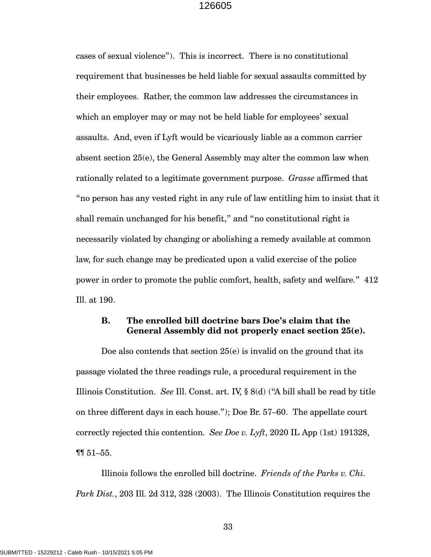cases of sexual violence"). This is incorrect. There is no constitutional requirement that businesses be held liable for sexual assaults committed by their employees. Rather, the common law addresses the circumstances in which an employer may or may not be held liable for employees' sexual assaults. And, even if Lyft would be vicariously liable as a common carrier absent section 25(e), the General Assembly may alter the common law when rationally related to a legitimate government purpose. *Grasse* affirmed that "no person has any vested right in any rule of law entitling him to insist that it shall remain unchanged for his benefit," and "no constitutional right is necessarily violated by changing or abolishing a remedy available at common law, for such change may be predicated upon a valid exercise of the police power in order to promote the public comfort, health, safety and welfare." 412 Ill. at 190.

# **B. The enrolled bill doctrine bars Doe's claim that the General Assembly did not properly enact section 25(e).**

Doe also contends that section 25(e) is invalid on the ground that its passage violated the three readings rule, a procedural requirement in the Illinois Constitution. *See* Ill. Const. art. IV, § 8(d) ("A bill shall be read by title on three different days in each house."); Doe Br. 57–60. The appellate court correctly rejected this contention. *See Doe v. Lyft*, 2020 IL App (1st) 191328, ¶¶ 51–55.

Illinois follows the enrolled bill doctrine. *Friends of the Parks v. Chi. Park Dist.*, 203 Ill. 2d 312, 328 (2003). The Illinois Constitution requires the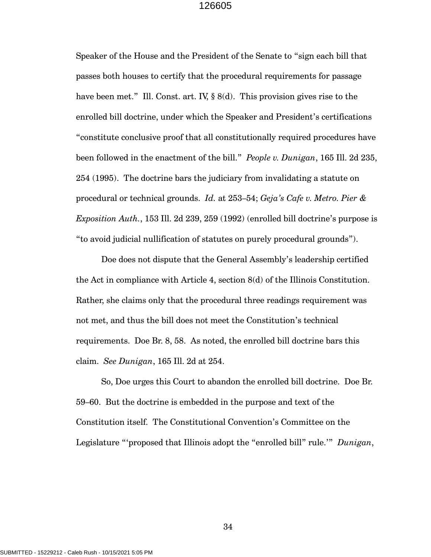Speaker of the House and the President of the Senate to "sign each bill that passes both houses to certify that the procedural requirements for passage have been met." Ill. Const. art. IV, § 8(d). This provision gives rise to the enrolled bill doctrine, under which the Speaker and President's certifications "constitute conclusive proof that all constitutionally required procedures have been followed in the enactment of the bill." *People v. Dunigan*, 165 Ill. 2d 235, 254 (1995). The doctrine bars the judiciary from invalidating a statute on procedural or technical grounds. *Id.* at 253–54; *Geja's Cafe v. Metro. Pier & Exposition Auth.*, 153 Ill. 2d 239, 259 (1992) (enrolled bill doctrine's purpose is "to avoid judicial nullification of statutes on purely procedural grounds").

Doe does not dispute that the General Assembly's leadership certified the Act in compliance with Article 4, section 8(d) of the Illinois Constitution. Rather, she claims only that the procedural three readings requirement was not met, and thus the bill does not meet the Constitution's technical requirements. Doe Br. 8, 58. As noted, the enrolled bill doctrine bars this claim. *See Dunigan*, 165 Ill. 2d at 254.

So, Doe urges this Court to abandon the enrolled bill doctrine. Doe Br. 59–60. But the doctrine is embedded in the purpose and text of the Constitution itself. The Constitutional Convention's Committee on the Legislature "'proposed that Illinois adopt the "enrolled bill" rule.'" *Dunigan*,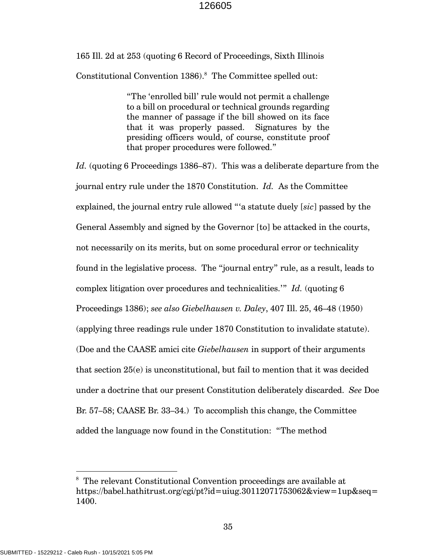165 Ill. 2d at 253 (quoting 6 Record of Proceedings, Sixth Illinois Constitutional Convention 1386).<sup>8</sup> The Committee spelled out:

> "The 'enrolled bill' rule would not permit a challenge to a bill on procedural or technical grounds regarding the manner of passage if the bill showed on its face that it was properly passed. Signatures by the presiding officers would, of course, constitute proof that proper procedures were followed."

*Id.* (quoting 6 Proceedings 1386–87). This was a deliberate departure from the journal entry rule under the 1870 Constitution. *Id.* As the Committee explained, the journal entry rule allowed "'a statute duely [*sic*] passed by the General Assembly and signed by the Governor [to] be attacked in the courts, not necessarily on its merits, but on some procedural error or technicality found in the legislative process. The "journal entry" rule, as a result, leads to complex litigation over procedures and technicalities.'" *Id.* (quoting 6 Proceedings 1386); *see also Giebelhausen v. Daley*, 407 Ill. 25, 46–48 (1950) (applying three readings rule under 1870 Constitution to invalidate statute). (Doe and the CAASE amici cite *Giebelhausen* in support of their arguments that section 25(e) is unconstitutional, but fail to mention that it was decided under a doctrine that our present Constitution deliberately discarded. *See* Doe Br. 57–58; CAASE Br. 33–34.) To accomplish this change, the Committee added the language now found in the Constitution: "The method

<sup>8</sup> The relevant Constitutional Convention proceedings are available at https://babel.hathitrust.org/cgi/pt?id=uiug.30112071753062&view=1up&seq= 1400.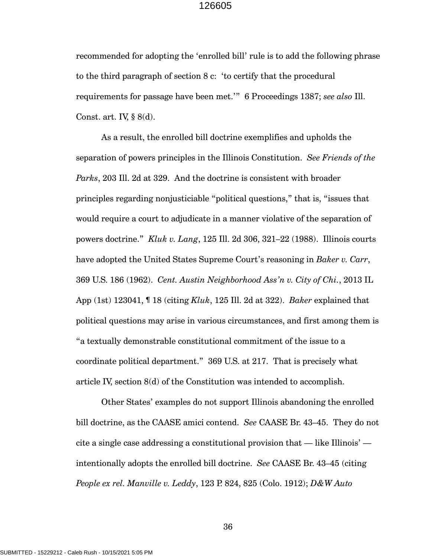recommended for adopting the 'enrolled bill' rule is to add the following phrase to the third paragraph of section 8 c: 'to certify that the procedural requirements for passage have been met.'" 6 Proceedings 1387; *see also* Ill. Const. art. IV,  $\S$  8(d).

As a result, the enrolled bill doctrine exemplifies and upholds the separation of powers principles in the Illinois Constitution. *See Friends of the Parks*, 203 Ill. 2d at 329. And the doctrine is consistent with broader principles regarding nonjusticiable "political questions," that is, "issues that would require a court to adjudicate in a manner violative of the separation of powers doctrine." *Kluk v. Lang*, 125 Ill. 2d 306, 321–22 (1988). Illinois courts have adopted the United States Supreme Court's reasoning in *Baker v. Carr*, 369 U.S. 186 (1962). *Cent. Austin Neighborhood Ass'n v. City of Chi.*, 2013 IL App (1st) 123041, ¶ 18 (citing *Kluk*, 125 Ill. 2d at 322). *Baker* explained that political questions may arise in various circumstances, and first among them is "a textually demonstrable constitutional commitment of the issue to a coordinate political department." 369 U.S. at 217. That is precisely what article IV, section 8(d) of the Constitution was intended to accomplish.

Other States' examples do not support Illinois abandoning the enrolled bill doctrine, as the CAASE amici contend. *See* CAASE Br. 43–45. They do not cite a single case addressing a constitutional provision that  $-$  like Illinois'  $$ intentionally adopts the enrolled bill doctrine. *See* CAASE Br. 43–45 (citing *People ex rel. Manville v. Leddy*, 123 P. 824, 825 (Colo. 1912); *D&W Auto*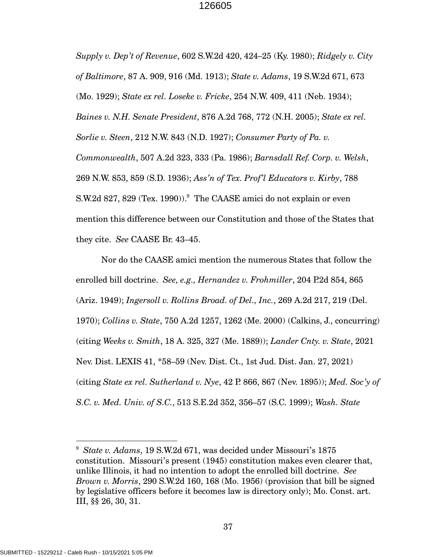*Supply v. Dep't of Revenue*, 602 S.W.2d 420, 424–25 (Ky. 1980); *Ridgely v. City of Baltimore*, 87 A. 909, 916 (Md. 1913); *State v. Adams*, 19 S.W.2d 671, 673 (Mo. 1929); *State ex rel. Loseke v. Fricke*, 254 N.W. 409, 411 (Neb. 1934); *Baines v. N.H. Senate President*, 876 A.2d 768, 772 (N.H. 2005); *State ex rel. Sorlie v. Steen*, 212 N.W. 843 (N.D. 1927); *Consumer Party of Pa. v. Commonwealth*, 507 A.2d 323, 333 (Pa. 1986); *Barnsdall Ref. Corp. v. Welsh*, 269 N.W. 853, 859 (S.D. 1936); *Ass'n of Tex. Prof'l Educators v. Kirby*, 788 S.W.2d 827, 829 (Tex. 1990)). $^9$  The CAASE amici do not explain or even mention this difference between our Constitution and those of the States that they cite. *See* CAASE Br. 43–45.

Nor do the CAASE amici mention the numerous States that follow the enrolled bill doctrine. *See, e.g., Hernandez v. Frohmiller*, 204 P.2d 854, 865 (Ariz. 1949); *Ingersoll v. Rollins Broad. of Del., Inc.*, 269 A.2d 217, 219 (Del. 1970); *Collins v. State*, 750 A.2d 1257, 1262 (Me. 2000) (Calkins, J., concurring) (citing *Weeks v. Smith*, 18 A. 325, 327 (Me. 1889)); *Lander Cnty. v. State*, 2021 Nev. Dist. LEXIS 41, \*58–59 (Nev. Dist. Ct., 1st Jud. Dist. Jan. 27, 2021) (citing *State ex rel. Sutherland v. Nye*, 42 P. 866, 867 (Nev. 1895)); *Med. Soc'y of S.C. v. Med. Univ. of S.C.*, 513 S.E.2d 352, 356–57 (S.C. 1999); *Wash. State* 

<sup>9</sup> *State v. Adams*, 19 S.W.2d 671, was decided under Missouri's 1875 constitution. Missouri's present (1945) constitution makes even clearer that, unlike Illinois, it had no intention to adopt the enrolled bill doctrine. *See Brown v. Morris*, 290 S.W.2d 160, 168 (Mo. 1956) (provision that bill be signed by legislative officers before it becomes law is directory only); Mo. Const. art. III, §§ 26, 30, 31.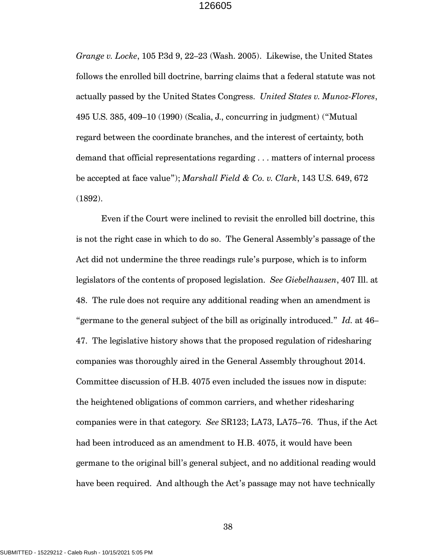*Grange v. Locke*, 105 P.3d 9, 22–23 (Wash. 2005). Likewise, the United States follows the enrolled bill doctrine, barring claims that a federal statute was not actually passed by the United States Congress. *United States v. Munoz-Flores*, 495 U.S. 385, 409–10 (1990) (Scalia, J., concurring in judgment) ("Mutual regard between the coordinate branches, and the interest of certainty, both demand that official representations regarding . . . matters of internal process be accepted at face value"); *Marshall Field & Co. v. Clark*, 143 U.S. 649, 672 (1892).

Even if the Court were inclined to revisit the enrolled bill doctrine, this is not the right case in which to do so. The General Assembly's passage of the Act did not undermine the three readings rule's purpose, which is to inform legislators of the contents of proposed legislation. *See Giebelhausen*, 407 Ill. at 48. The rule does not require any additional reading when an amendment is "germane to the general subject of the bill as originally introduced." *Id.* at 46– 47. The legislative history shows that the proposed regulation of ridesharing companies was thoroughly aired in the General Assembly throughout 2014. Committee discussion of H.B. 4075 even included the issues now in dispute: the heightened obligations of common carriers, and whether ridesharing companies were in that category. *See* SR123; LA73, LA75–76. Thus, if the Act had been introduced as an amendment to H.B. 4075, it would have been germane to the original bill's general subject, and no additional reading would have been required. And although the Act's passage may not have technically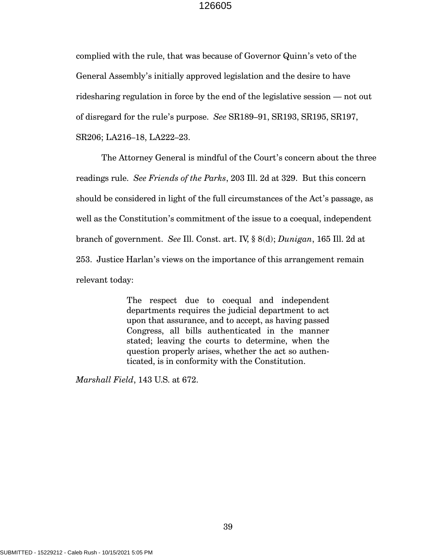complied with the rule, that was because of Governor Quinn's veto of the General Assembly's initially approved legislation and the desire to have ridesharing regulation in force by the end of the legislative session — not out of disregard for the rule's purpose. *See* SR189–91, SR193, SR195, SR197, SR206; LA216–18, LA222–23.

The Attorney General is mindful of the Court's concern about the three readings rule. *See Friends of the Parks*, 203 Ill. 2d at 329. But this concern should be considered in light of the full circumstances of the Act's passage, as well as the Constitution's commitment of the issue to a coequal, independent branch of government. *See* Ill. Const. art. IV, § 8(d); *Dunigan*, 165 Ill. 2d at 253. Justice Harlan's views on the importance of this arrangement remain relevant today:

> The respect due to coequal and independent departments requires the judicial department to act upon that assurance, and to accept, as having passed Congress, all bills authenticated in the manner stated; leaving the courts to determine, when the question properly arises, whether the act so authenticated, is in conformity with the Constitution.

*Marshall Field*, 143 U.S. at 672.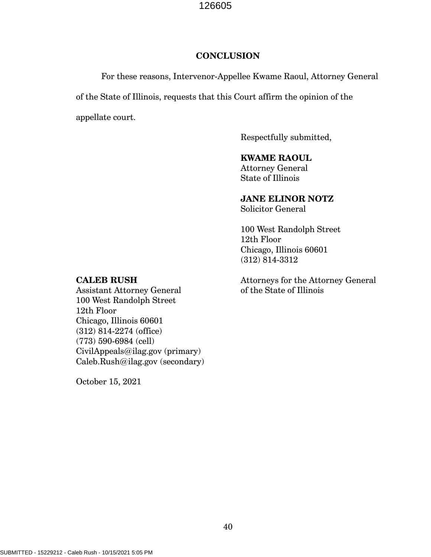#### **CONCLUSION**

For these reasons, Intervenor-Appellee Kwame Raoul, Attorney General

of the State of Illinois, requests that this Court affirm the opinion of the

appellate court.

Respectfully submitted,

## **KWAME RAOUL**

Attorney General State of Illinois

# **JANE ELINOR NOTZ**

Solicitor General

100 West Randolph Street 12th Floor Chicago, Illinois 60601 (312) 814-3312

## Attorneys for the Attorney General of the State of Illinois

## **CALEB RUSH**

Assistant Attorney General 100 West Randolph Street 12th Floor Chicago, Illinois 60601 (312) 814-2274 (office) (773) 590-6984 (cell) CivilAppeals@ilag.gov (primary) Caleb.Rush@ilag.gov (secondary)

October 15, 2021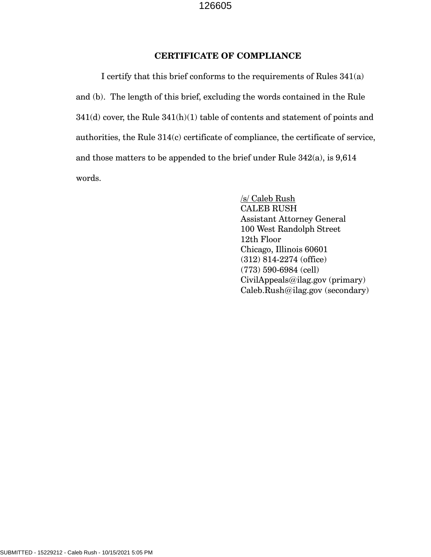### **CERTIFICATE OF COMPLIANCE**

I certify that this brief conforms to the requirements of Rules 341(a) and (b). The length of this brief, excluding the words contained in the Rule 341(d) cover, the Rule 341(h)(1) table of contents and statement of points and authorities, the Rule 314(c) certificate of compliance, the certificate of service, and those matters to be appended to the brief under Rule 342(a), is 9,614 words.

> /s/ Caleb Rush CALEB RUSH Assistant Attorney General 100 West Randolph Street 12th Floor Chicago, Illinois 60601 (312) 814-2274 (office) (773) 590-6984 (cell) CivilAppeals@ilag.gov (primary) Caleb.Rush@ilag.gov (secondary)